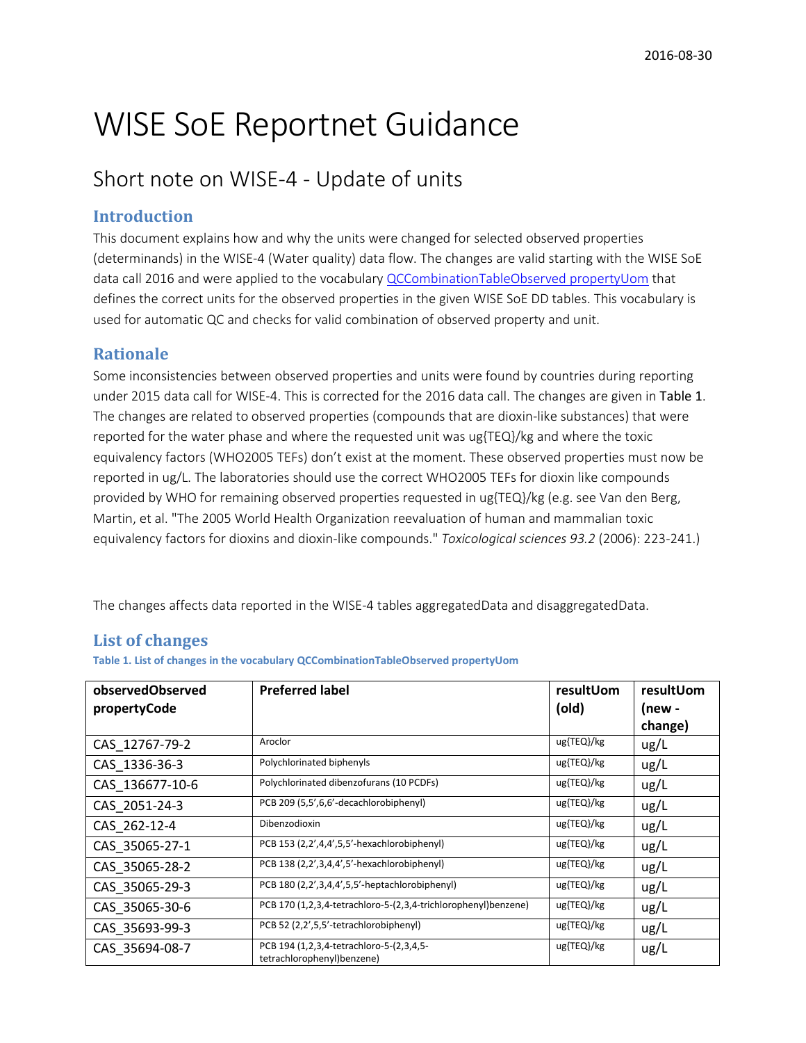# WISE SoE Reportnet Guidance

## Short note on WISE-4 - Update of units

#### **Introduction**

This document explains how and why the units were changed for selected observed properties (determinands) in the WISE-4 (Water quality) data flow. The changes are valid starting with the WISE SoE data call 2016 and were applied to the vocabular[y QCCombinationTableObserved propertyUom](http://dd.eionet.europa.eu/vocabulary/wise/QCCombinationTableDeterminandUom/) that defines the correct units for the observed properties in the given WISE SoE DD tables. This vocabulary is used for automatic QC and checks for valid combination of observed property and unit.

### **Rationale**

Some inconsistencies between observed properties and units were found by countries during reporting under 2015 data call for WISE-4. This is corrected for the 2016 data call. The changes are given in [Table 1](#page-0-0). The changes are related to observed properties (compounds that are dioxin-like substances) that were reported for the water phase and where the requested unit was ug{TEQ}/kg and where the toxic equivalency factors (WHO2005 TEFs) don't exist at the moment. These observed properties must now be reported in ug/L. The laboratories should use the correct WHO2005 TEFs for dioxin like compounds provided by WHO for remaining observed properties requested in ug{TEQ}/kg (e.g. see Van den Berg, Martin, et al. "The 2005 World Health Organization reevaluation of human and mammalian toxic equivalency factors for dioxins and dioxin-like compounds." *Toxicological sciences 93.2* (2006): 223-241.)

The changes affects data reported in the WISE-4 tables aggregatedData and disaggregatedData.

#### **List of changes**

<span id="page-0-0"></span>**Table 1. List of changes in the vocabulary QCCombinationTableObserved propertyUom**

| observedObserved<br>propertyCode | <b>Preferred label</b>                                                 | resultUom<br>(old) | resultUom<br>(new - |
|----------------------------------|------------------------------------------------------------------------|--------------------|---------------------|
|                                  |                                                                        |                    | change)             |
| CAS 12767-79-2                   | Aroclor                                                                | ug{TEQ}/kg         | ug/L                |
| CAS 1336-36-3                    | Polychlorinated biphenyls                                              | ug{TEQ}/kg         | ug/L                |
| CAS_136677-10-6                  | Polychlorinated dibenzofurans (10 PCDFs)                               | ug{TEQ}/kg         | ug/L                |
| CAS 2051-24-3                    | PCB 209 (5,5',6,6'-decachlorobiphenyl)                                 | ug{TEQ}/kg         | ug/L                |
| CAS 262-12-4                     | Dibenzodioxin                                                          | ug{TEQ}/kg         | ug/L                |
| CAS 35065-27-1                   | PCB 153 (2,2',4,4',5,5'-hexachlorobiphenyl)                            | ug{TEQ}/kg         | ug/L                |
| CAS 35065-28-2                   | PCB 138 (2,2',3,4,4',5'-hexachlorobiphenyl)                            | ug{TEQ}/kg         | ug/L                |
| CAS 35065-29-3                   | PCB 180 (2,2',3,4,4',5,5'-heptachlorobiphenyl)                         | ug{TEQ}/kg         | ug/L                |
| CAS 35065-30-6                   | PCB 170 (1,2,3,4-tetrachloro-5-(2,3,4-trichlorophenyl)benzene)         | ug{TEQ}/kg         | ug/L                |
| CAS 35693-99-3                   | PCB 52 (2,2',5,5'-tetrachlorobiphenyl)                                 | ug{TEQ}/kg         | ug/L                |
| CAS 35694-08-7                   | PCB 194 (1,2,3,4-tetrachloro-5-(2,3,4,5-<br>tetrachlorophenyl)benzene) | ug{TEQ}/kg         | ug/L                |